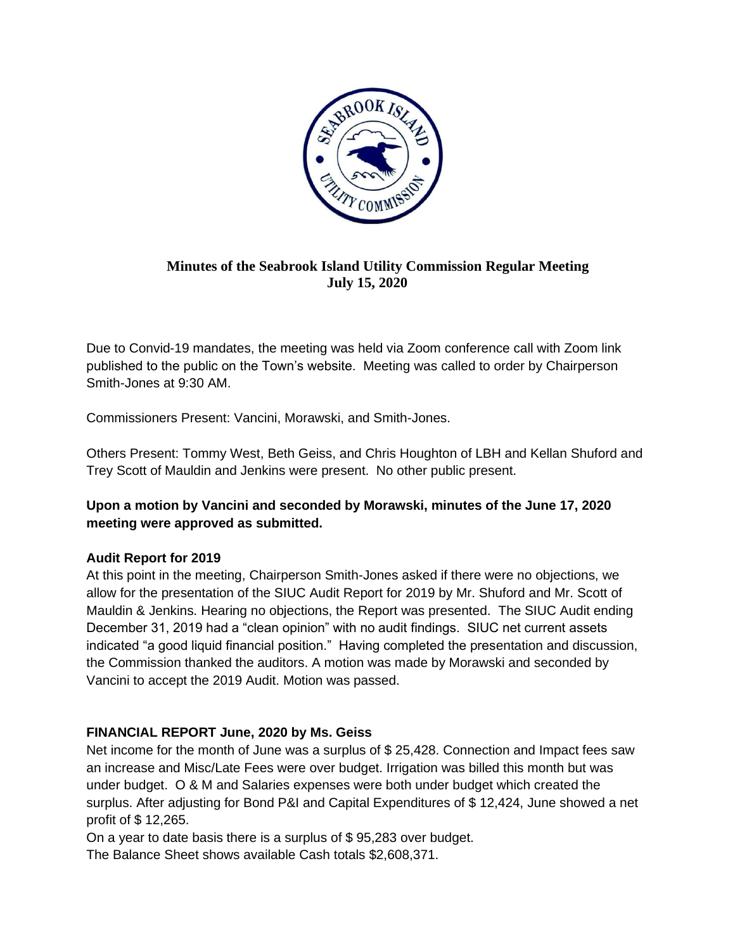

# **Minutes of the Seabrook Island Utility Commission Regular Meeting July 15, 2020**

Due to Convid-19 mandates, the meeting was held via Zoom conference call with Zoom link published to the public on the Town's website. Meeting was called to order by Chairperson Smith-Jones at 9:30 AM.

Commissioners Present: Vancini, Morawski, and Smith-Jones.

Others Present: Tommy West, Beth Geiss, and Chris Houghton of LBH and Kellan Shuford and Trey Scott of Mauldin and Jenkins were present. No other public present.

# **Upon a motion by Vancini and seconded by Morawski, minutes of the June 17, 2020 meeting were approved as submitted.**

# **Audit Report for 2019**

At this point in the meeting, Chairperson Smith-Jones asked if there were no objections, we allow for the presentation of the SIUC Audit Report for 2019 by Mr. Shuford and Mr. Scott of Mauldin & Jenkins. Hearing no objections, the Report was presented. The SIUC Audit ending December 31, 2019 had a "clean opinion" with no audit findings. SIUC net current assets indicated "a good liquid financial position." Having completed the presentation and discussion, the Commission thanked the auditors. A motion was made by Morawski and seconded by Vancini to accept the 2019 Audit. Motion was passed.

# **FINANCIAL REPORT June, 2020 by Ms. Geiss**

Net income for the month of June was a surplus of \$ 25,428. Connection and Impact fees saw an increase and Misc/Late Fees were over budget. Irrigation was billed this month but was under budget. O & M and Salaries expenses were both under budget which created the surplus. After adjusting for Bond P&I and Capital Expenditures of \$ 12,424, June showed a net profit of \$ 12,265.

On a year to date basis there is a surplus of \$ 95,283 over budget.

The Balance Sheet shows available Cash totals \$2,608,371.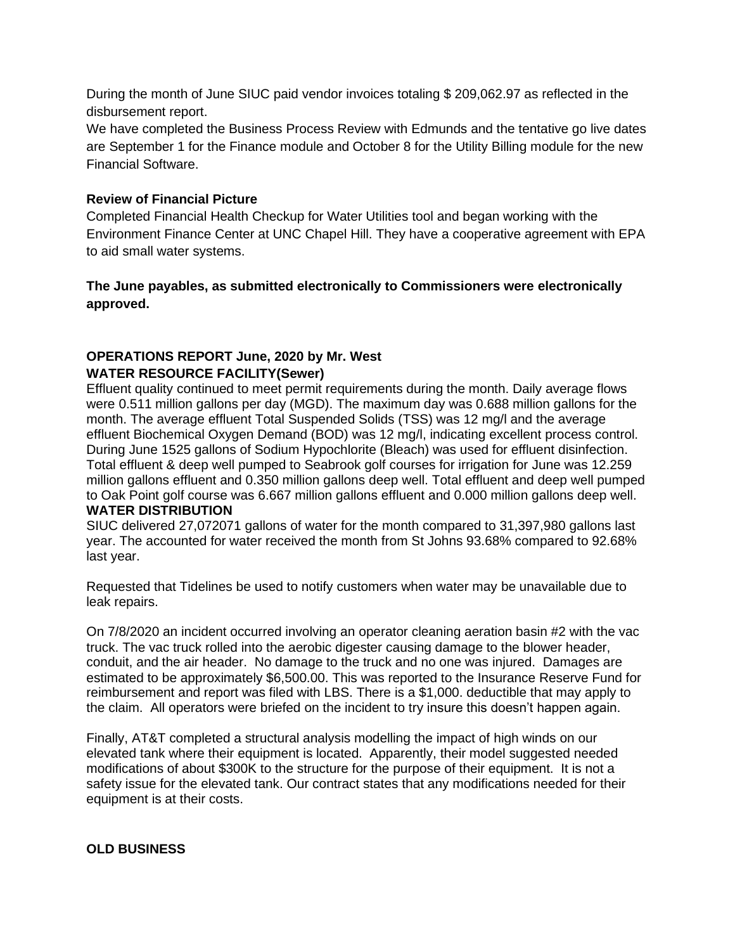During the month of June SIUC paid vendor invoices totaling \$ 209,062.97 as reflected in the disbursement report.

We have completed the Business Process Review with Edmunds and the tentative go live dates are September 1 for the Finance module and October 8 for the Utility Billing module for the new Financial Software.

#### **Review of Financial Picture**

Completed Financial Health Checkup for Water Utilities tool and began working with the Environment Finance Center at UNC Chapel Hill. They have a cooperative agreement with EPA to aid small water systems.

### **The June payables, as submitted electronically to Commissioners were electronically approved.**

#### **OPERATIONS REPORT June, 2020 by Mr. West WATER RESOURCE FACILITY(Sewer)**

Effluent quality continued to meet permit requirements during the month. Daily average flows were 0.511 million gallons per day (MGD). The maximum day was 0.688 million gallons for the month. The average effluent Total Suspended Solids (TSS) was 12 mg/l and the average effluent Biochemical Oxygen Demand (BOD) was 12 mg/l, indicating excellent process control. During June 1525 gallons of Sodium Hypochlorite (Bleach) was used for effluent disinfection. Total effluent & deep well pumped to Seabrook golf courses for irrigation for June was 12.259 million gallons effluent and 0.350 million gallons deep well. Total effluent and deep well pumped to Oak Point golf course was 6.667 million gallons effluent and 0.000 million gallons deep well. **WATER DISTRIBUTION** 

SIUC delivered 27,072071 gallons of water for the month compared to 31,397,980 gallons last year. The accounted for water received the month from St Johns 93.68% compared to 92.68% last year.

Requested that Tidelines be used to notify customers when water may be unavailable due to leak repairs.

On 7/8/2020 an incident occurred involving an operator cleaning aeration basin #2 with the vac truck. The vac truck rolled into the aerobic digester causing damage to the blower header, conduit, and the air header. No damage to the truck and no one was injured. Damages are estimated to be approximately \$6,500.00. This was reported to the Insurance Reserve Fund for reimbursement and report was filed with LBS. There is a \$1,000. deductible that may apply to the claim. All operators were briefed on the incident to try insure this doesn't happen again.

Finally, AT&T completed a structural analysis modelling the impact of high winds on our elevated tank where their equipment is located. Apparently, their model suggested needed modifications of about \$300K to the structure for the purpose of their equipment. It is not a safety issue for the elevated tank. Our contract states that any modifications needed for their equipment is at their costs.

#### **OLD BUSINESS**